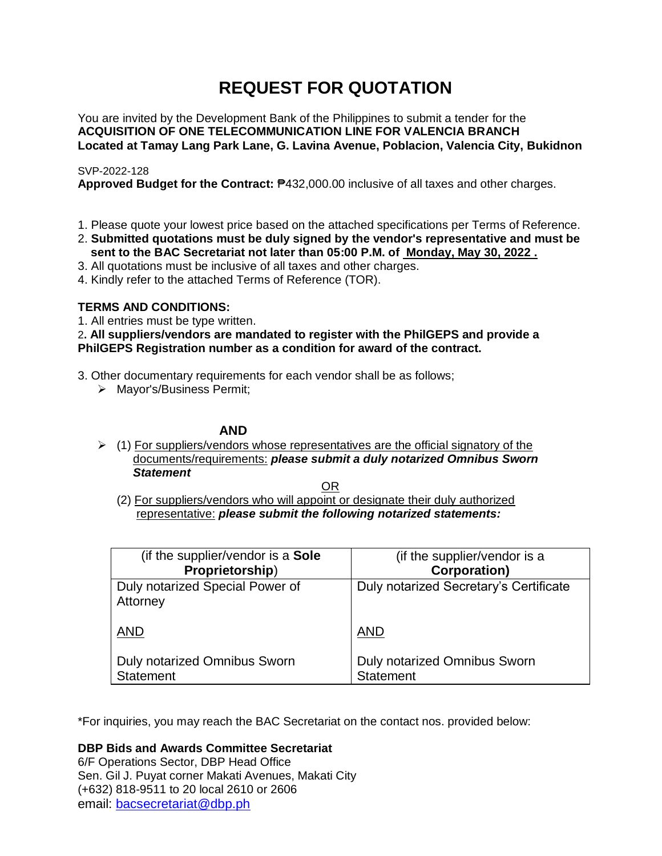# **REQUEST FOR QUOTATION**

You are invited by the Development Bank of the Philippines to submit a tender for the **ACQUISITION OF ONE TELECOMMUNICATION LINE FOR VALENCIA BRANCH Located at Tamay Lang Park Lane, G. Lavina Avenue, Poblacion, Valencia City, Bukidnon**

### SVP-2022-128

**Approved Budget for the Contract:** ₱432,000.00 inclusive of all taxes and other charges.

- 1. Please quote your lowest price based on the attached specifications per Terms of Reference.
- 2. **Submitted quotations must be duly signed by the vendor's representative and must be sent to the BAC Secretariat not later than 05:00 P.M. of Monday, May 30, 2022 .**
- 3. All quotations must be inclusive of all taxes and other charges.
- 4. Kindly refer to the attached Terms of Reference (TOR).

## **TERMS AND CONDITIONS:**

1. All entries must be type written.

2**. All suppliers/vendors are mandated to register with the PhilGEPS and provide a PhilGEPS Registration number as a condition for award of the contract.**

- 3. Other documentary requirements for each vendor shall be as follows;
	- > Mayor's/Business Permit;

### **AND**

 $\geq$  (1) For suppliers/vendors whose representatives are the official signatory of the documents/requirements: *please submit a duly notarized Omnibus Sworn Statement*

<u>OR Starting and the Starting OR Starting</u>

(2) For suppliers/vendors who will appoint or designate their duly authorized representative: *please submit the following notarized statements:*

| (if the supplier/vendor is a Sole                | (if the supplier/vendor is a                     |
|--------------------------------------------------|--------------------------------------------------|
| Proprietorship)                                  | <b>Corporation)</b>                              |
| Duly notarized Special Power of<br>Attorney      | Duly notarized Secretary's Certificate           |
| <b>AND</b>                                       | <b>AND</b>                                       |
| Duly notarized Omnibus Sworn<br><b>Statement</b> | Duly notarized Omnibus Sworn<br><b>Statement</b> |

\*For inquiries, you may reach the BAC Secretariat on the contact nos. provided below:

**DBP Bids and Awards Committee Secretariat** 

6/F Operations Sector, DBP Head Office Sen. Gil J. Puyat corner Makati Avenues, Makati City (+632) 818-9511 to 20 local 2610 or 2606 email: [bacsecretariat@dbp.ph](mailto:bacsecretariat@dbp.ph)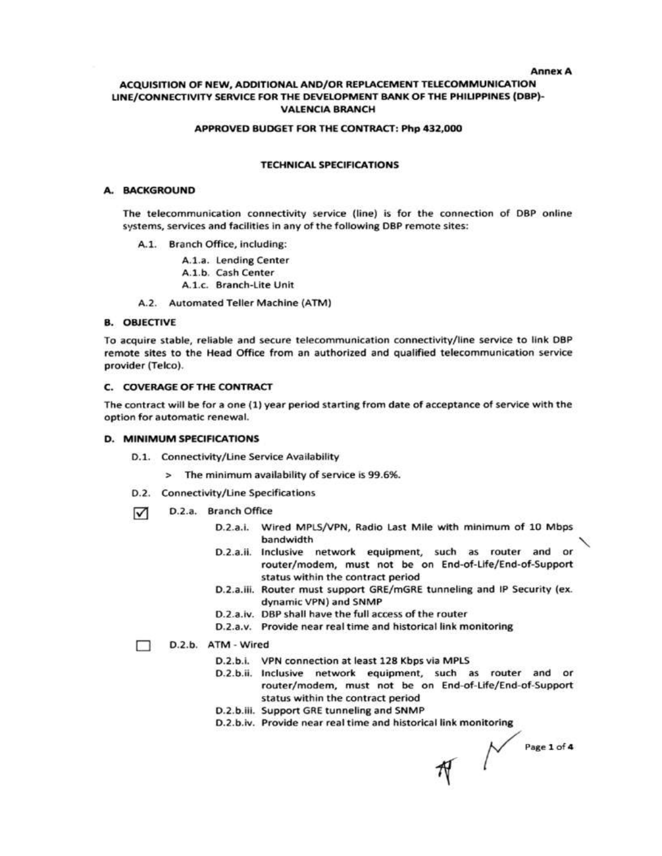**Annex A** 

### ACQUISITION OF NEW, ADDITIONAL AND/OR REPLACEMENT TELECOMMUNICATION LINE/CONNECTIVITY SERVICE FOR THE DEVELOPMENT BANK OF THE PHILIPPINES (DBP)-**VALENCIA BRANCH**

#### APPROVED BUDGET FOR THE CONTRACT: Php 432,000

#### **TECHNICAL SPECIFICATIONS**

#### A. BACKGROUND

The telecommunication connectivity service (line) is for the connection of DBP online systems, services and facilities in any of the following DBP remote sites:

- A.1. Branch Office, including:
	- A.1.a. Lending Center
	- A.1.b. Cash Center
	- A.1.c. Branch-Lite Unit

A.2. Automated Teller Machine (ATM)

#### **B. OBJECTIVE**

To acquire stable, reliable and secure telecommunication connectivity/line service to link DBP remote sites to the Head Office from an authorized and qualified telecommunication service provider (Telco).

#### **C. COVERAGE OF THE CONTRACT**

The contract will be for a one (1) year period starting from date of acceptance of service with the option for automatic renewal.

#### **D. MINIMUM SPECIFICATIONS**

- D.1. Connectivity/Line Service Availability
	- > The minimum availability of service is 99.6%.
- D.2. Connectivity/Line Specifications
- D.2.a. Branch Office ☑
	- D.2.a.i. Wired MPLS/VPN, Radio Last Mile with minimum of 10 Mbps bandwidth
	- D.2.a.ii. Inclusive network equipment, such as router and or router/modem, must not be on End-of-Life/End-of-Support status within the contract period
	- D.2.a.iii. Router must support GRE/mGRE tunneling and IP Security (ex. dynamic VPN) and SNMP
	- D.2.a.iv. DBP shall have the full access of the router
	- D.2.a.v. Provide near real time and historical link monitoring

#### D.2.b. ATM - Wired □

- D.2.b.i. VPN connection at least 128 Kbps via MPLS
- D.2.b.ii. Inclusive network equipment, such as router and or router/modem, must not be on End-of-Life/End-of-Support status within the contract period
- D.2.b.iii. Support GRE tunneling and SNMP
- D.2.b.iv. Provide near real time and historical link monitoring

 $\mathcal{N}$  Page 1 of 4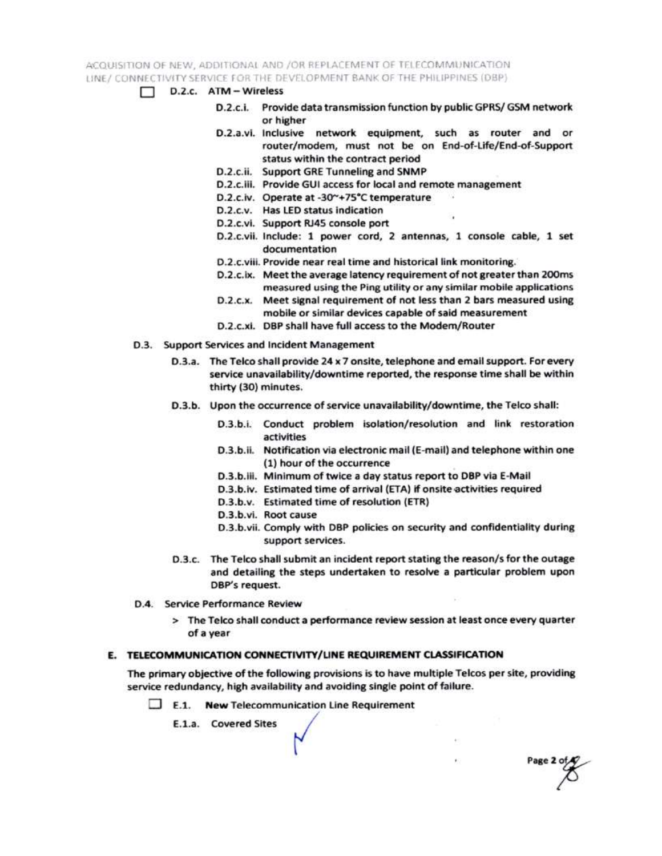ACQUISITION OF NEW, ADDITIONAL AND /OR REPLACEMENT OF TELECOMMUNICATION LINE / CONNECTIVITY SERVICE FOR THE DEVELOPMENT BANK OF THE PHILIPPINES (DBP)

- $\Box$  D.2.c.  $ATM Wireless$ 
	- D.2.c.i. Provide data transmission function by public GPRS/ GSM network or higher
	- D.2.a.vi. Inclusive network equipment, such as router and or router/modem, must not be on End-of-Life/End-of-Support status within the contract period
	- D.2.c.ii. Support GRE Tunneling and SNMP
	- D.2.c.iii. Provide GUI access for local and remote management
	- D.2.c.iv. Operate at -30~+75°C temperature
	- D.2.c.v. Has LED status indication
	- D.2.c.vi. Support RJ45 console port
	- D.2.c.vii. Include: 1 power cord, 2 antennas, 1 console cable, 1 set documentation
	- D.2.c.viii. Provide near real time and historical link monitoring.
	- D.2.c.ix. Meet the average latency requirement of not greater than 200ms measured using the Ping utility or any similar mobile applications
	- D.2.c.x. Meet signal requirement of not less than 2 bars measured using mobile or similar devices capable of said measurement
	- D.2.c.xi. DBP shall have full access to the Modem/Router
- D.3. Support Services and Incident Management
	- D.3.a. The Telco shall provide 24 x 7 onsite, telephone and email support. For every service unavailability/downtime reported, the response time shall be within thirty (30) minutes.
	- D.3.b. Upon the occurrence of service unavailability/downtime, the Telco shall:
		- D.3.b.i. Conduct problem isolation/resolution and link restoration activities
		- D.3.b.ii. Notification via electronic mail (E-mail) and telephone within one (1) hour of the occurrence
		- D.3.b.iii. Minimum of twice a day status report to DBP via E-Mail
		- D.3.b.iv. Estimated time of arrival (ETA) if onsite activities required
		- D.3.b.v. Estimated time of resolution (ETR)
		- D.3.b.vi. Root cause
		- D.3.b.vii. Comply with DBP policies on security and confidentiality during support services.

Page 2 of

- D.3.c. The Telco shall submit an incident report stating the reason/s for the outage and detailing the steps undertaken to resolve a particular problem upon DBP's request.
- D.4. Service Performance Review
	- > The Telco shall conduct a performance review session at least once every quarter of a year

### E. TELECOMMUNICATION CONNECTIVITY/LINE REQUIREMENT CLASSIFICATION

The primary objective of the following provisions is to have multiple Telcos per site, providing service redundancy, high availability and avoiding single point of failure.

 $\Box$  E.1. New Telecommunication Line Requirement

E.1.a. Covered Sites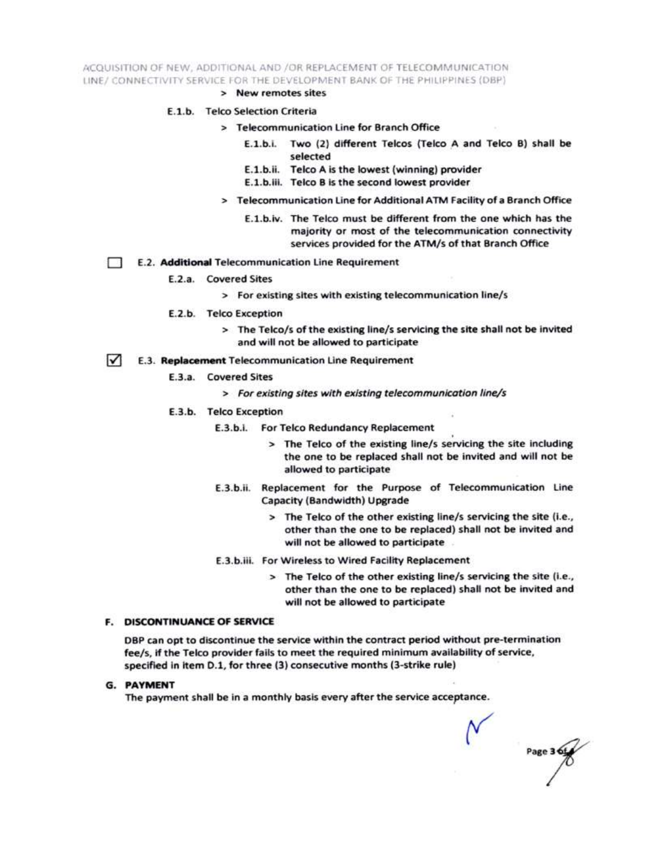ACQUISITION OF NEW, ADDITIONAL AND /OR REPLACEMENT OF TELECOMMUNICATION LINE/ CONNECTIVITY SERVICE FOR THE DEVELOPMENT BANK OF THE PHILIPPINES (DBP)

> New remotes sites

#### E.1.b. Telco Selection Criteria

- > Telecommunication Line for Branch Office
	- E.1.b.i. Two (2) different Telcos (Telco A and Telco B) shall be selected
	- E.1.b.ii. Telco A is the lowest (winning) provider
	- E.1.b.iii. Telco B is the second lowest provider
- > Telecommunication Line for Additional ATM Facility of a Branch Office
	- E.1.b.iv. The Telco must be different from the one which has the majority or most of the telecommunication connectivity services provided for the ATM/s of that Branch Office
- E.2. Additional Telecommunication Line Requirement Ð
	- E.2.a. Covered Sites
		- > For existing sites with existing telecommunication line/s
	- E.2.b. Telco Exception
		- > The Telco/s of the existing line/s servicing the site shall not be invited and will not be allowed to participate
- $\sqrt{ }$ E.3. Replacement Telecommunication Line Requirement
	- E.3.a. Covered Sites
		- > For existing sites with existing telecommunication line/s
	- E.3.b. Telco Exception
		- E.3.b.i. For Telco Redundancy Replacement
			- > The Telco of the existing line/s servicing the site including the one to be replaced shall not be invited and will not be allowed to participate
		- E.3.b.ii. Replacement for the Purpose of Telecommunication Line Capacity (Bandwidth) Upgrade
			- > The Telco of the other existing line/s servicing the site (i.e., other than the one to be replaced) shall not be invited and will not be allowed to participate
		- E.3.b.iii. For Wireless to Wired Facility Replacement
			- > The Telco of the other existing line/s servicing the site (i.e., other than the one to be replaced) shall not be invited and will not be allowed to participate

#### **F. DISCONTINUANCE OF SERVICE**

DBP can opt to discontinue the service within the contract period without pre-termination fee/s, if the Telco provider fails to meet the required minimum availability of service, specified in item D.1, for three (3) consecutive months (3-strike rule)

**G. PAYMENT** 

The payment shall be in a monthly basis every after the service acceptance.

Page 3 6t